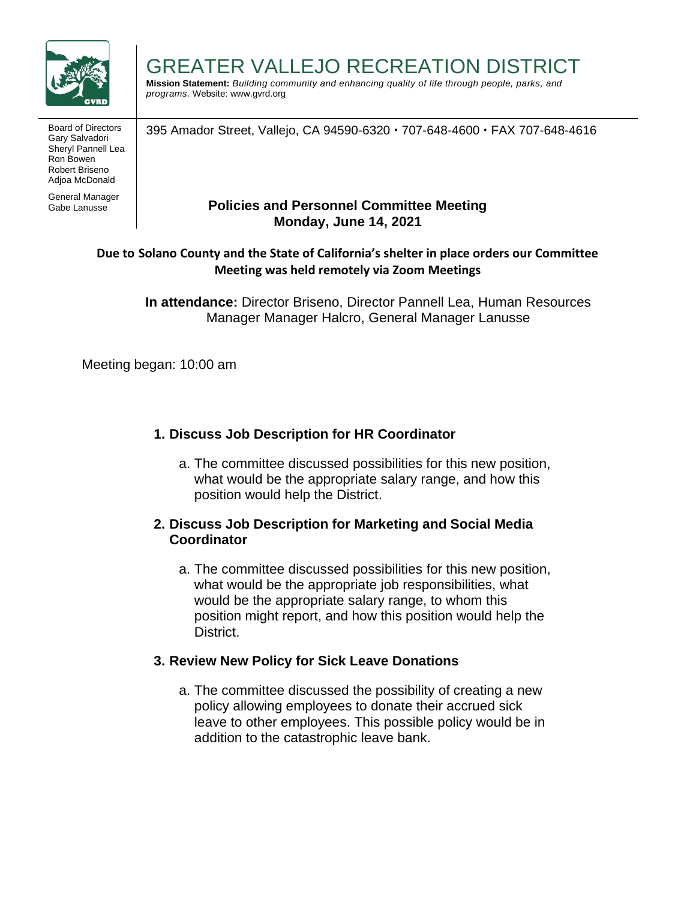

Board of Directors | 395 Amador Street, Vallejo, CA 94590-6320  $\cdot$  707-648-4600  $\cdot$  FAX 707-648-4616 Gary Salvadori Sheryl Pannell Lea Ron Bowen Robert Briseno Adjoa McDonald

General Manager Gabe Lanusse

#### GREATER VALLEJO RECREATION DISTRICT **Mission Statement:** *Building community and enhancing quality of life through people, parks, and*

*programs.* Website: www.gvrd.org

**Policies and Personnel Committee Meeting Monday, June 14, 2021**

# **Due to Solano County and the State of California's shelter in place orders our Committee Meeting was held remotely via Zoom Meetings**

**In attendance:** Director Briseno, Director Pannell Lea, Human Resources Manager Manager Halcro, General Manager Lanusse

Meeting began: 10:00 am

# **1. Discuss Job Description for HR Coordinator**

a. The committee discussed possibilities for this new position, what would be the appropriate salary range, and how this position would help the District.

# **2. Discuss Job Description for Marketing and Social Media Coordinator**

a. The committee discussed possibilities for this new position, what would be the appropriate job responsibilities, what would be the appropriate salary range, to whom this position might report, and how this position would help the District.

# **3. Review New Policy for Sick Leave Donations**

a. The committee discussed the possibility of creating a new policy allowing employees to donate their accrued sick leave to other employees. This possible policy would be in addition to the catastrophic leave bank.